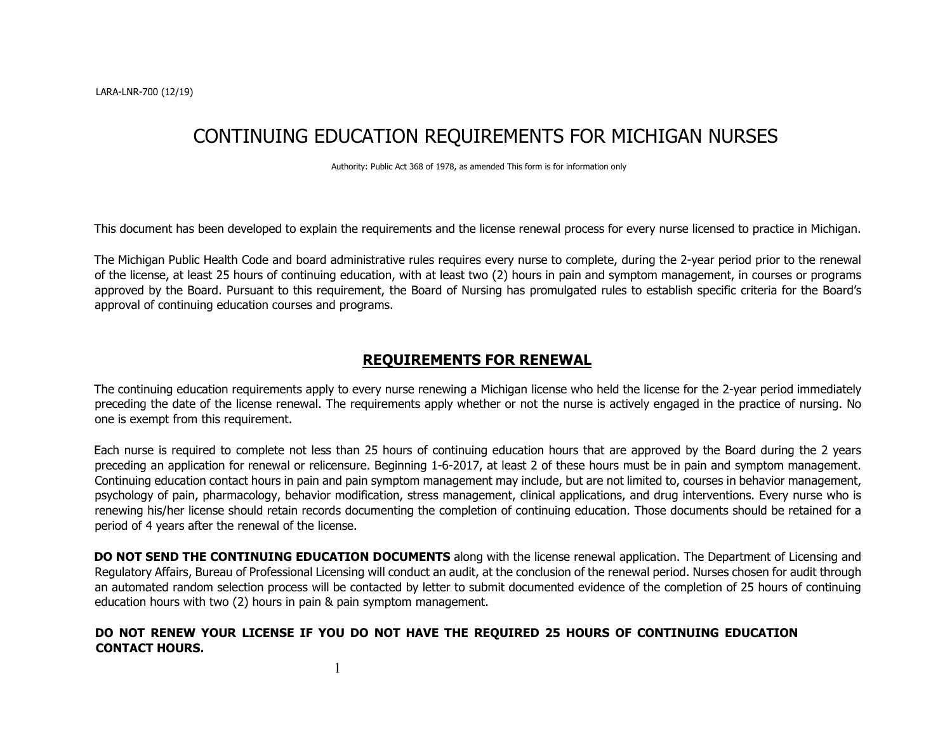# CONTINUING EDUCATION REQUIREMENTS FOR MICHIGAN NURSES

Authority: Public Act 368 of 1978, as amended This form is for information only

This document has been developed to explain the requirements and the license renewal process for every nurse licensed to practice in Michigan.

The Michigan Public Health Code and board administrative rules requires every nurse to complete, during the 2-year period prior to the renewal of the license, at least 25 hours of continuing education, with at least two (2) hours in pain and symptom management, in courses or programs approved by the Board. Pursuant to this requirement, the Board of Nursing has promulgated rules to establish specific criteria for the Board's approval of continuing education courses and programs.

#### **REQUIREMENTS FOR RENEWAL**

The continuing education requirements apply to every nurse renewing a Michigan license who held the license for the 2-year period immediately preceding the date of the license renewal. The requirements apply whether or not the nurse is actively engaged in the practice of nursing. No one is exempt from this requirement.

Each nurse is required to complete not less than 25 hours of continuing education hours that are approved by the Board during the 2 years preceding an application for renewal or relicensure. Beginning 1-6-2017, at least 2 of these hours must be in pain and symptom management. Continuing education contact hours in pain and pain symptom management may include, but are not limited to, courses in behavior management, psychology of pain, pharmacology, behavior modification, stress management, clinical applications, and drug interventions. Every nurse who is renewing his/her license should retain records documenting the completion of continuing education. Those documents should be retained for a period of 4 years after the renewal of the license.

**DO NOT SEND THE CONTINUING EDUCATION DOCUMENTS** along with the license renewal application. The Department of Licensing and Regulatory Affairs, Bureau of Professional Licensing will conduct an audit, at the conclusion of the renewal period. Nurses chosen for audit through an automated random selection process will be contacted by letter to submit documented evidence of the completion of 25 hours of continuing education hours with two (2) hours in pain & pain symptom management.

#### **DO NOT RENEW YOUR LICENSE IF YOU DO NOT HAVE THE REQUIRED 25 HOURS OF CONTINUING EDUCATION CONTACT HOURS.**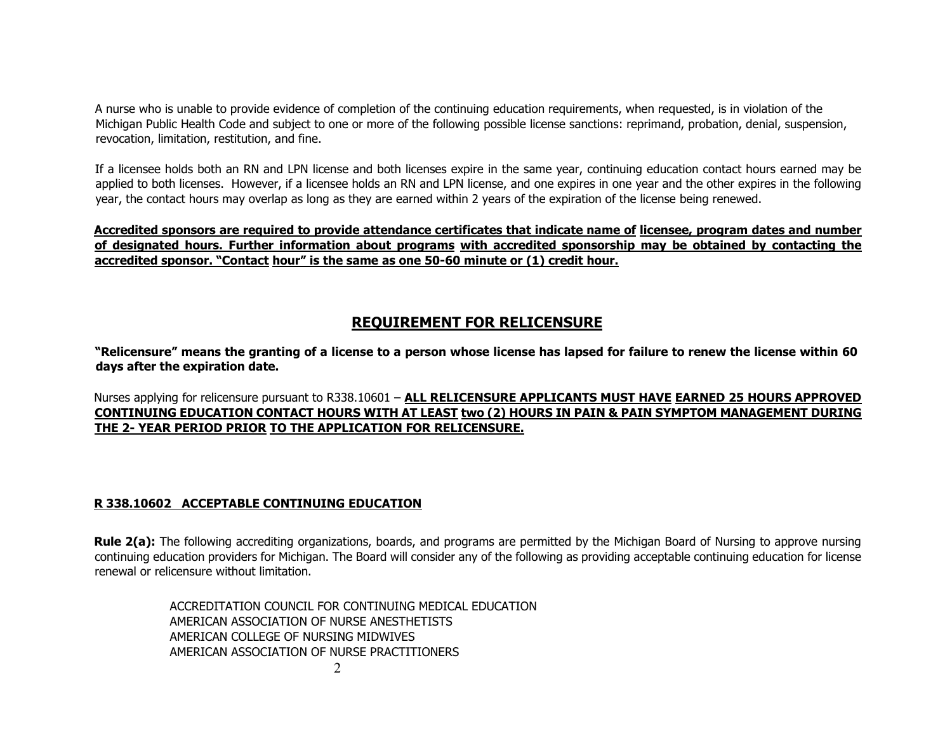A nurse who is unable to provide evidence of completion of the continuing education requirements, when requested, is in violation of the Michigan Public Health Code and subject to one or more of the following possible license sanctions: reprimand, probation, denial, suspension, revocation, limitation, restitution, and fine.

If a licensee holds both an RN and LPN license and both licenses expire in the same year, continuing education contact hours earned may be applied to both licenses. However, if a licensee holds an RN and LPN license, and one expires in one year and the other expires in the following year, the contact hours may overlap as long as they are earned within 2 years of the expiration of the license being renewed.

**Accredited sponsors are required to provide attendance certificates that indicate name of licensee, program dates and number of designated hours. Further information about programs with accredited sponsorship may be obtained by contacting the accredited sponsor. "Contact hour" is the same as one 50-60 minute or (1) credit hour.**

## **REQUIREMENT FOR RELICENSURE**

**"Relicensure" means the granting of a license to a person whose license has lapsed for failure to renew the license within 60 days after the expiration date.**

Nurses applying for relicensure pursuant to R338.10601 – **ALL RELICENSURE APPLICANTS MUST HAVE EARNED 25 HOURS APPROVED CONTINUING EDUCATION CONTACT HOURS WITH AT LEAST two (2) HOURS IN PAIN & PAIN SYMPTOM MANAGEMENT DURING THE 2- YEAR PERIOD PRIOR TO THE APPLICATION FOR RELICENSURE.**

#### **R 338.10602 ACCEPTABLE CONTINUING EDUCATION**

**Rule 2(a):** The following accrediting organizations, boards, and programs are permitted by the Michigan Board of Nursing to approve nursing continuing education providers for Michigan. The Board will consider any of the following as providing acceptable continuing education for license renewal or relicensure without limitation.

ACCREDITATION COUNCIL FOR CONTINUING MEDICAL EDUCATION AMERICAN ASSOCIATION OF NURSE ANESTHETISTS AMERICAN COLLEGE OF NURSING MIDWIVES AMERICAN ASSOCIATION OF NURSE PRACTITIONERS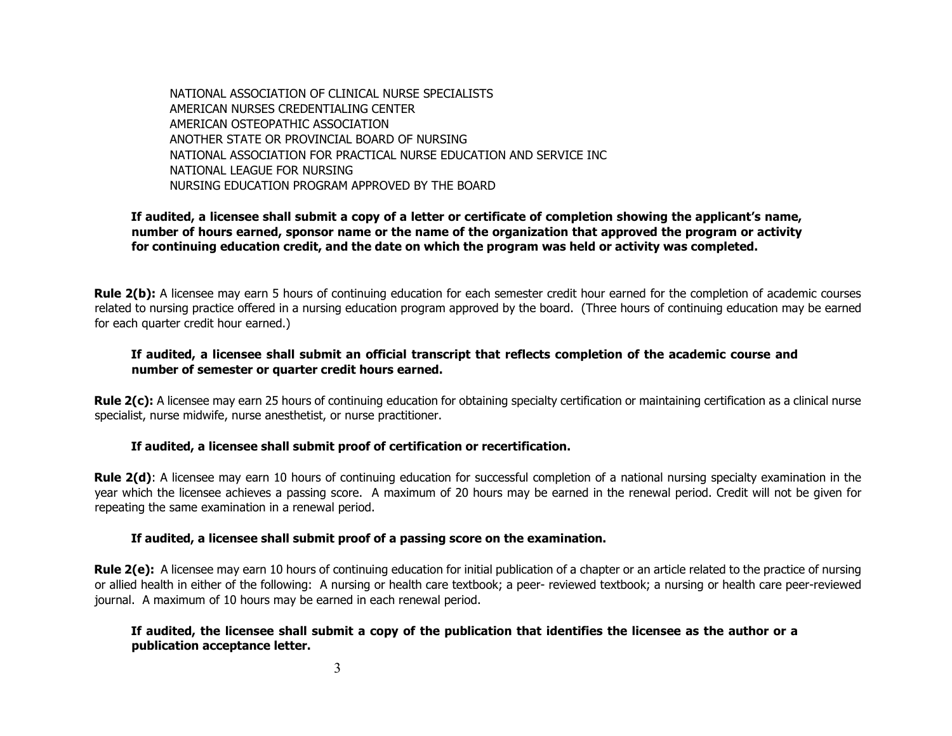NATIONAL ASSOCIATION OF CLINICAL NURSE SPECIALISTS AMERICAN NURSES CREDENTIALING CENTER AMERICAN OSTEOPATHIC ASSOCIATION ANOTHER STATE OR PROVINCIAL BOARD OF NURSING NATIONAL ASSOCIATION FOR PRACTICAL NURSE EDUCATION AND SERVICE INC NATIONAL LEAGUE FOR NURSING NURSING EDUCATION PROGRAM APPROVED BY THE BOARD

#### **If audited, a licensee shall submit a copy of a letter or certificate of completion showing the applicant's name, number of hours earned, sponsor name or the name of the organization that approved the program or activity for continuing education credit, and the date on which the program was held or activity was completed.**

**Rule 2(b):** A licensee may earn 5 hours of continuing education for each semester credit hour earned for the completion of academic courses related to nursing practice offered in a nursing education program approved by the board. (Three hours of continuing education may be earned for each quarter credit hour earned.)

#### **If audited, a licensee shall submit an official transcript that reflects completion of the academic course and number of semester or quarter credit hours earned.**

**Rule 2(c):** A licensee may earn 25 hours of continuing education for obtaining specialty certification or maintaining certification as a clinical nurse specialist, nurse midwife, nurse anesthetist, or nurse practitioner.

#### **If audited, a licensee shall submit proof of certification or recertification.**

**Rule 2(d)**: A licensee may earn 10 hours of continuing education for successful completion of a national nursing specialty examination in the year which the licensee achieves a passing score. A maximum of 20 hours may be earned in the renewal period. Credit will not be given for repeating the same examination in a renewal period.

#### **If audited, a licensee shall submit proof of a passing score on the examination.**

**Rule 2(e):** A licensee may earn 10 hours of continuing education for initial publication of a chapter or an article related to the practice of nursing or allied health in either of the following: A nursing or health care textbook; a peer- reviewed textbook; a nursing or health care peer-reviewed journal. A maximum of 10 hours may be earned in each renewal period.

#### **If audited, the licensee shall submit a copy of the publication that identifies the licensee as the author or a publication acceptance letter.**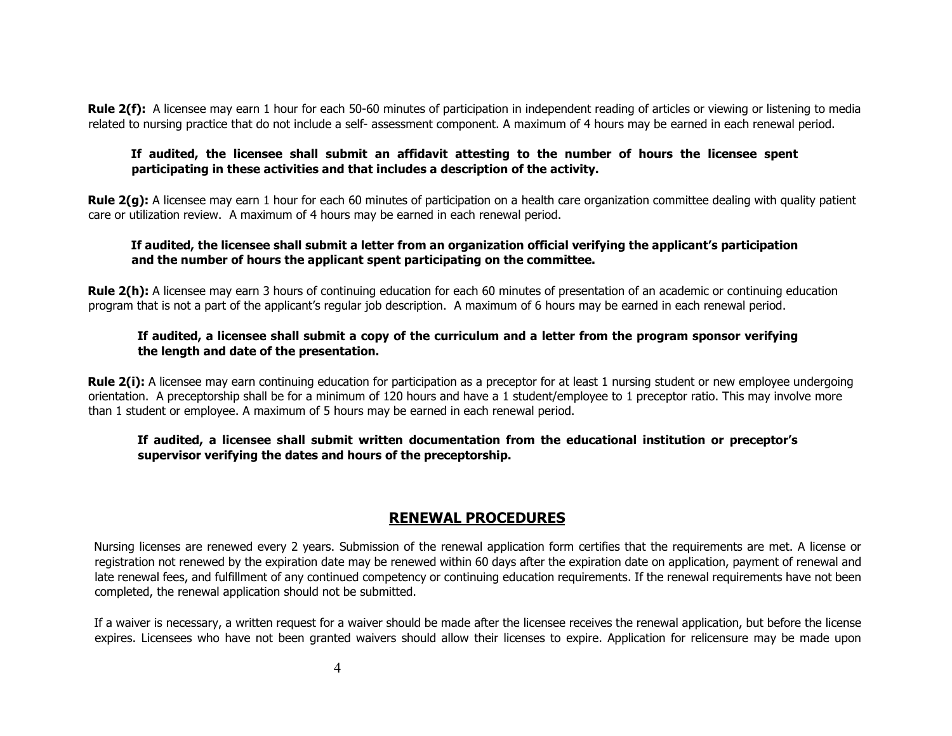**Rule 2(f):** A licensee may earn 1 hour for each 50-60 minutes of participation in independent reading of articles or viewing or listening to media related to nursing practice that do not include a self- assessment component. A maximum of 4 hours may be earned in each renewal period.

#### **If audited, the licensee shall submit an affidavit attesting to the number of hours the licensee spent participating in these activities and that includes a description of the activity.**

Rule 2(g): A licensee may earn 1 hour for each 60 minutes of participation on a health care organization committee dealing with quality patient care or utilization review. A maximum of 4 hours may be earned in each renewal period.

#### **If audited, the licensee shall submit a letter from an organization official verifying the applicant's participation and the number of hours the applicant spent participating on the committee.**

**Rule 2(h):** A licensee may earn 3 hours of continuing education for each 60 minutes of presentation of an academic or continuing education program that is not a part of the applicant's regular job description. A maximum of 6 hours may be earned in each renewal period.

#### **If audited, a licensee shall submit a copy of the curriculum and a letter from the program sponsor verifying the length and date of the presentation.**

**Rule 2(i):** A licensee may earn continuing education for participation as a preceptor for at least 1 nursing student or new employee undergoing orientation. A preceptorship shall be for a minimum of 120 hours and have a 1 student/employee to 1 preceptor ratio. This may involve more than 1 student or employee. A maximum of 5 hours may be earned in each renewal period.

#### **If audited, a licensee shall submit written documentation from the educational institution or preceptor's supervisor verifying the dates and hours of the preceptorship.**

### **RENEWAL PROCEDURES**

Nursing licenses are renewed every 2 years. Submission of the renewal application form certifies that the requirements are met. A license or registration not renewed by the expiration date may be renewed within 60 days after the expiration date on application, payment of renewal and late renewal fees, and fulfillment of any continued competency or continuing education requirements. If the renewal requirements have not been completed, the renewal application should not be submitted.

If a waiver is necessary, a written request for a waiver should be made after the licensee receives the renewal application, but before the license expires. Licensees who have not been granted waivers should allow their licenses to expire. Application for relicensure may be made upon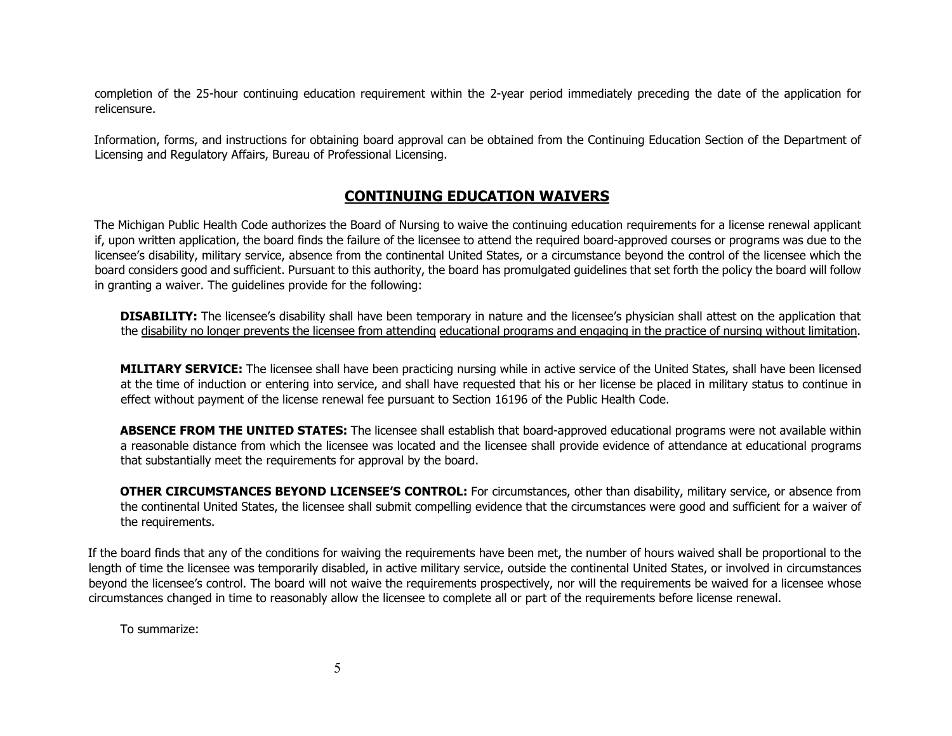completion of the 25-hour continuing education requirement within the 2-year period immediately preceding the date of the application for relicensure.

Information, forms, and instructions for obtaining board approval can be obtained from the Continuing Education Section of the Department of Licensing and Regulatory Affairs, Bureau of Professional Licensing.

## **CONTINUING EDUCATION WAIVERS**

The Michigan Public Health Code authorizes the Board of Nursing to waive the continuing education requirements for a license renewal applicant if, upon written application, the board finds the failure of the licensee to attend the required board-approved courses or programs was due to the licensee's disability, military service, absence from the continental United States, or a circumstance beyond the control of the licensee which the board considers good and sufficient. Pursuant to this authority, the board has promulgated guidelines that set forth the policy the board will follow in granting a waiver. The guidelines provide for the following:

**DISABILITY:** The licensee's disability shall have been temporary in nature and the licensee's physician shall attest on the application that the disability no longer prevents the licensee from attending educational programs and engaging in the practice of nursing without limitation.

**MILITARY SERVICE:** The licensee shall have been practicing nursing while in active service of the United States, shall have been licensed at the time of induction or entering into service, and shall have requested that his or her license be placed in military status to continue in effect without payment of the license renewal fee pursuant to Section 16196 of the Public Health Code.

**ABSENCE FROM THE UNITED STATES:** The licensee shall establish that board-approved educational programs were not available within a reasonable distance from which the licensee was located and the licensee shall provide evidence of attendance at educational programs that substantially meet the requirements for approval by the board.

**OTHER CIRCUMSTANCES BEYOND LICENSEE'S CONTROL:** For circumstances, other than disability, military service, or absence from the continental United States, the licensee shall submit compelling evidence that the circumstances were good and sufficient for a waiver of the requirements.

If the board finds that any of the conditions for waiving the requirements have been met, the number of hours waived shall be proportional to the length of time the licensee was temporarily disabled, in active military service, outside the continental United States, or involved in circumstances beyond the licensee's control. The board will not waive the requirements prospectively, nor will the requirements be waived for a licensee whose circumstances changed in time to reasonably allow the licensee to complete all or part of the requirements before license renewal.

To summarize: